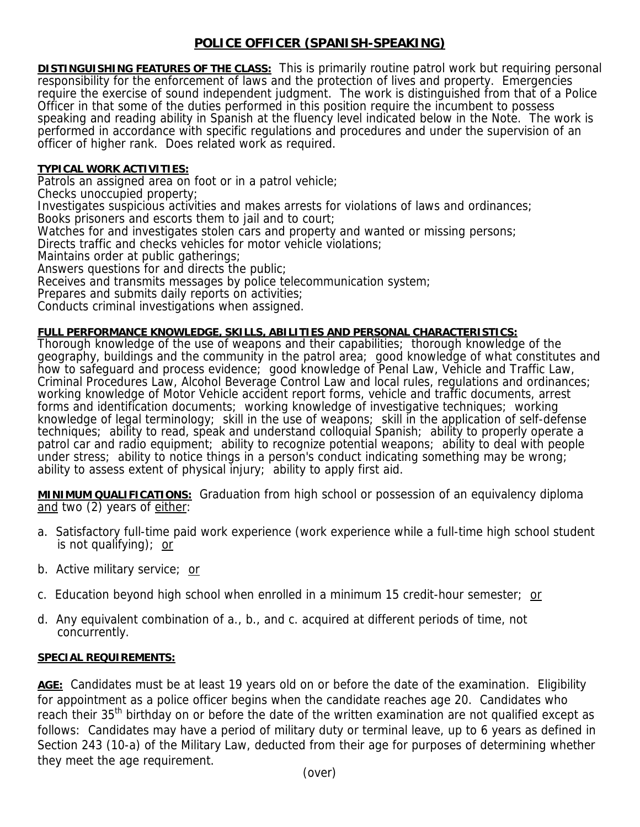# **POLICE OFFICER (SPANISH-SPEAKING)**

**DISTINGUISHING FEATURES OF THE CLASS:** This is primarily routine patrol work but requiring personal responsibility for the enforcement of laws and the protection of lives and property. Emergencies require the exercise of sound independent judgment. The work is distinguished from that of a Police Officer in that some of the duties performed in this position require the incumbent to possess speaking and reading ability in Spanish at the fluency level indicated below in the Note. The work is performed in accordance with specific regulations and procedures and under the supervision of an officer of higher rank. Does related work as required.

## **TYPICAL WORK ACTIVITIES:**

Patrols an assigned area on foot or in a patrol vehicle;

Checks unoccupied property;

Investigates suspicious activities and makes arrests for violations of laws and ordinances;

Books prisoners and escorts them to jail and to court;

Watches for and investigates stolen cars and property and wanted or missing persons;

Directs traffic and checks vehicles for motor vehicle violations;

Maintains order at public gatherings;

Answers questions for and directs the public;

Receives and transmits messages by police telecommunication system;

Prepares and submits daily reports on activities;

Conducts criminal investigations when assigned.

## **FULL PERFORMANCE KNOWLEDGE, SKILLS, ABILITIES AND PERSONAL CHARACTERISTICS:**

Thorough knowledge of the use of weapons and their capabilities; thorough knowledge of the geography, buildings and the community in the patrol area; good knowledge of what constitutes and how to safeguard and process evidence; good knowledge of Penal Law, Vehicle and Traffic Law, Criminal Procedures Law, Alcohol Beverage Control Law and local rules, regulations and ordinances; working knowledge of Motor Vehicle accident report forms, vehicle and traffic documents, arrest forms and identification documents; working knowledge of investigative techniques; working knowledge of legal terminology; skill in the use of weapons; skill in the application of self-defense techniques; ability to read, speak and understand colloquial Spanish; ability to properly operate a patrol car and radio equipment; ability to recognize potential weapons; ability to deal with people under stress; ability to notice things in a person's conduct indicating something may be wrong; ability to assess extent of physical injury; ability to apply first aid.

**MINIMUM QUALIFICATIONS:** Graduation from high school or possession of an equivalency diploma and two (2) years of either:

- a. Satisfactory full-time paid work experience (work experience while a full-time high school student is not qualifying); or
- b. Active military service; or
- c. Education beyond high school when enrolled in a minimum 15 credit-hour semester; or
- d. Any equivalent combination of a., b., and c. acquired at different periods of time, not concurrently.

### **SPECIAL REQUIREMENTS:**

**AGE:** Candidates must be at least 19 years old on or before the date of the examination. Eligibility for appointment as a police officer begins when the candidate reaches age 20. Candidates who reach their 35<sup>th</sup> birthday on or before the date of the written examination are not qualified except as follows: Candidates may have a period of military duty or terminal leave, up to 6 years as defined in Section 243 (10-a) of the Military Law, deducted from their age for purposes of determining whether they meet the age requirement.